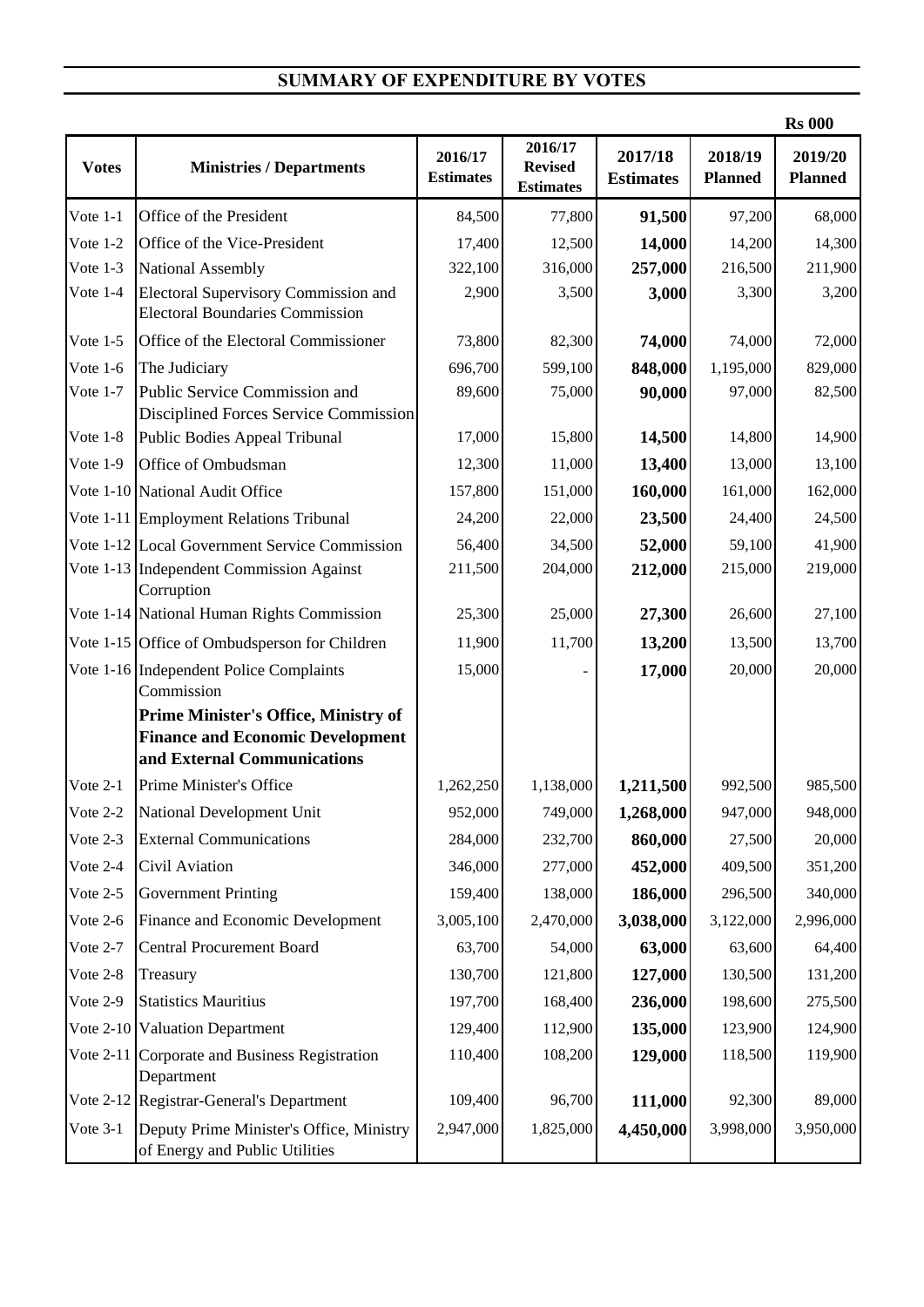## **SUMMARY OF EXPENDITURE BY VOTES**

|                  |                                                                                                                       |                             |                                               |                             |                           | <b>Rs 000</b>             |
|------------------|-----------------------------------------------------------------------------------------------------------------------|-----------------------------|-----------------------------------------------|-----------------------------|---------------------------|---------------------------|
| <b>Votes</b>     | <b>Ministries / Departments</b>                                                                                       | 2016/17<br><b>Estimates</b> | 2016/17<br><b>Revised</b><br><b>Estimates</b> | 2017/18<br><b>Estimates</b> | 2018/19<br><b>Planned</b> | 2019/20<br><b>Planned</b> |
| Vote $1-1$       | Office of the President                                                                                               | 84,500                      | 77,800                                        | 91,500                      | 97,200                    | 68,000                    |
| Vote $1-2$       | Office of the Vice-President                                                                                          | 17,400                      | 12,500                                        | 14,000                      | 14,200                    | 14,300                    |
| Vote 1-3         | National Assembly                                                                                                     | 322,100                     | 316,000                                       | 257,000                     | 216,500                   | 211,900                   |
| Vote 1-4         | <b>Electoral Supervisory Commission and</b><br><b>Electoral Boundaries Commission</b>                                 | 2,900                       | 3,500                                         | 3,000                       | 3,300                     | 3,200                     |
| Vote $1-5$       | Office of the Electoral Commissioner                                                                                  | 73,800                      | 82,300                                        | 74,000                      | 74,000                    | 72,000                    |
| Vote $1-6$       | The Judiciary                                                                                                         | 696,700                     | 599,100                                       | 848,000                     | 1,195,000                 | 829,000                   |
| Vote 1-7         | Public Service Commission and<br>Disciplined Forces Service Commission                                                | 89,600                      | 75,000                                        | 90,000                      | 97,000                    | 82,500                    |
| Vote 1-8         | Public Bodies Appeal Tribunal                                                                                         | 17,000                      | 15,800                                        | 14,500                      | 14,800                    | 14,900                    |
| Vote $1-9$       | Office of Ombudsman                                                                                                   | 12,300                      | 11,000                                        | 13,400                      | 13,000                    | 13,100                    |
|                  | Vote 1-10 National Audit Office                                                                                       | 157,800                     | 151,000                                       | 160,000                     | 161,000                   | 162,000                   |
|                  | Vote 1-11 Employment Relations Tribunal                                                                               | 24,200                      | 22,000                                        | 23,500                      | 24,400                    | 24,500                    |
|                  | Vote 1-12 Local Government Service Commission                                                                         | 56,400                      | 34,500                                        | 52,000                      | 59,100                    | 41,900                    |
|                  | Vote 1-13 Independent Commission Against<br>Corruption                                                                | 211,500                     | 204,000                                       | 212,000                     | 215,000                   | 219,000                   |
|                  | Vote 1-14 National Human Rights Commission                                                                            | 25,300                      | 25,000                                        | 27,300                      | 26,600                    | 27,100                    |
|                  | Vote 1-15 Office of Ombudsperson for Children                                                                         | 11,900                      | 11,700                                        | 13,200                      | 13,500                    | 13,700                    |
|                  | Vote 1-16 Independent Police Complaints<br>Commission                                                                 | 15,000                      |                                               | 17,000                      | 20,000                    | 20,000                    |
|                  | <b>Prime Minister's Office, Ministry of</b><br><b>Finance and Economic Development</b><br>and External Communications |                             |                                               |                             |                           |                           |
| Vote $2-1$       | Prime Minister's Office                                                                                               | 1,262,250                   | 1,138,000                                     | 1,211,500                   | 992,500                   | 985,500                   |
|                  | Vote 2-2 National Development Unit                                                                                    | 952,000                     | 749,000                                       | 1,268,000                   | 947,000                   | 948,000                   |
| Vote 2-3         | <b>External Communications</b>                                                                                        | 284,000                     | 232,700                                       | 860,000                     | 27,500                    | 20,000                    |
| Vote 2-4         | Civil Aviation                                                                                                        | 346,000                     | 277,000                                       | 452,000                     | 409,500                   | 351,200                   |
| Vote 2-5         | <b>Government Printing</b>                                                                                            | 159,400                     | 138,000                                       | 186,000                     | 296,500                   | 340,000                   |
| Vote 2-6         | Finance and Economic Development                                                                                      | 3,005,100                   | 2,470,000                                     | 3,038,000                   | 3,122,000                 | 2,996,000                 |
| Vote 2-7         | <b>Central Procurement Board</b>                                                                                      | 63,700                      | 54,000                                        | 63,000                      | 63,600                    | 64,400                    |
| Vote 2-8         | Treasury                                                                                                              | 130,700                     | 121,800                                       | 127,000                     | 130,500                   | 131,200                   |
| Vote 2-9         | <b>Statistics Mauritius</b>                                                                                           | 197,700                     | 168,400                                       | 236,000                     | 198,600                   | 275,500                   |
|                  | Vote 2-10 Valuation Department                                                                                        | 129,400                     | 112,900                                       | 135,000                     | 123,900                   | 124,900                   |
| <b>Vote 2-11</b> | Corporate and Business Registration<br>Department                                                                     | 110,400                     | 108,200                                       | 129,000                     | 118,500                   | 119,900                   |
|                  | Vote 2-12 Registrar-General's Department                                                                              | 109,400                     | 96,700                                        | 111,000                     | 92,300                    | 89,000                    |
| Vote 3-1         | Deputy Prime Minister's Office, Ministry<br>of Energy and Public Utilities                                            | 2,947,000                   | 1,825,000                                     | 4,450,000                   | 3,998,000                 | 3,950,000                 |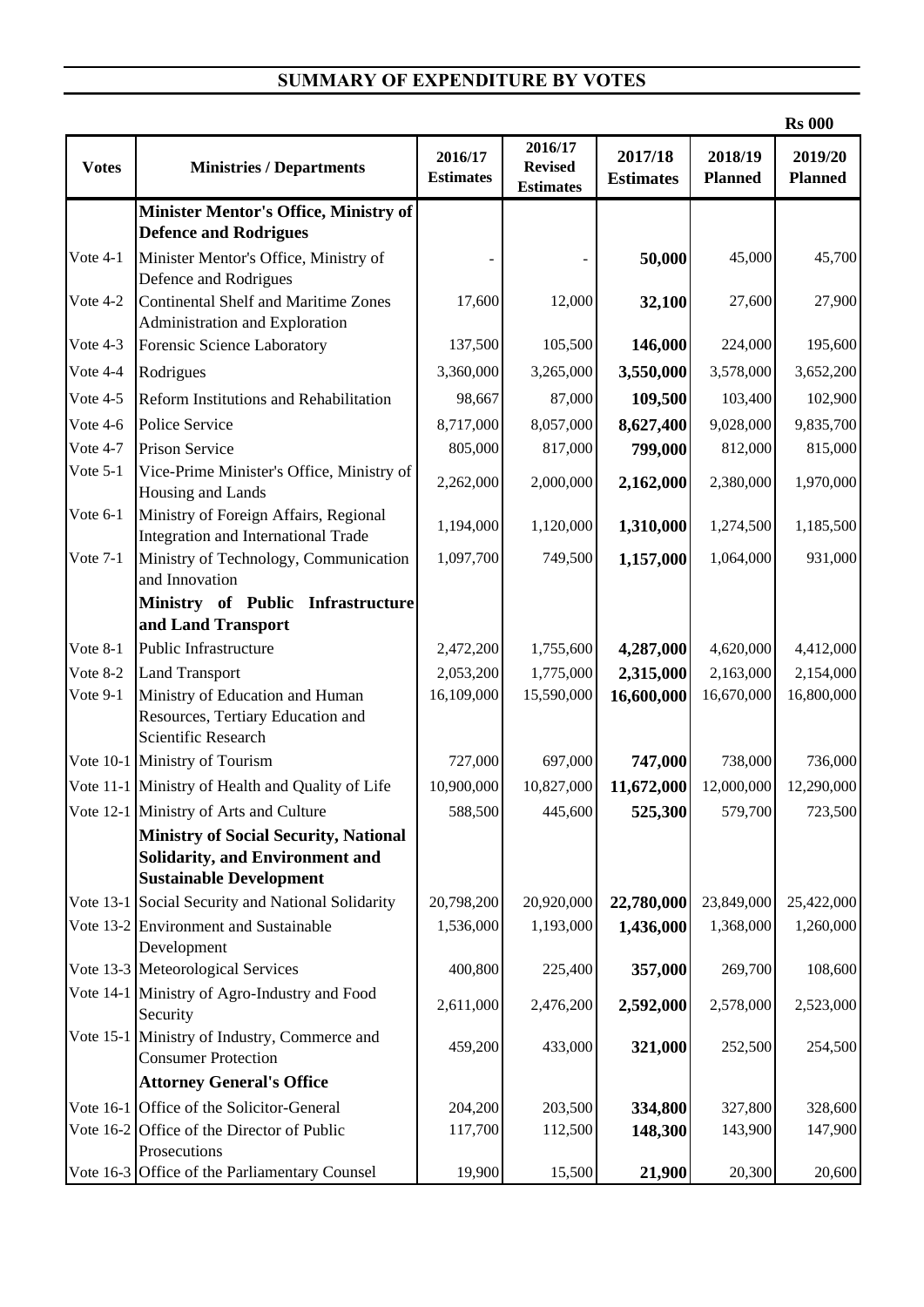## **SUMMARY OF EXPENDITURE BY VOTES**

|              |                                                                                                                   |                             |                                               |                             |                           | <b>Rs 000</b>             |
|--------------|-------------------------------------------------------------------------------------------------------------------|-----------------------------|-----------------------------------------------|-----------------------------|---------------------------|---------------------------|
| <b>Votes</b> | <b>Ministries / Departments</b>                                                                                   | 2016/17<br><b>Estimates</b> | 2016/17<br><b>Revised</b><br><b>Estimates</b> | 2017/18<br><b>Estimates</b> | 2018/19<br><b>Planned</b> | 2019/20<br><b>Planned</b> |
|              | Minister Mentor's Office, Ministry of<br><b>Defence and Rodrigues</b>                                             |                             |                                               |                             |                           |                           |
| Vote 4-1     | Minister Mentor's Office, Ministry of<br>Defence and Rodrigues                                                    |                             |                                               | 50,000                      | 45,000                    | 45,700                    |
| Vote 4-2     | <b>Continental Shelf and Maritime Zones</b><br>Administration and Exploration                                     | 17,600                      | 12,000                                        | 32,100                      | 27,600                    | 27,900                    |
| Vote 4-3     | Forensic Science Laboratory                                                                                       | 137,500                     | 105,500                                       | 146,000                     | 224,000                   | 195,600                   |
| Vote 4-4     | Rodrigues                                                                                                         | 3,360,000                   | 3,265,000                                     | 3,550,000                   | 3,578,000                 | 3,652,200                 |
| Vote 4-5     | Reform Institutions and Rehabilitation                                                                            | 98,667                      | 87,000                                        | 109,500                     | 103,400                   | 102,900                   |
| Vote 4-6     | Police Service                                                                                                    | 8,717,000                   | 8,057,000                                     | 8,627,400                   | 9,028,000                 | 9,835,700                 |
| Vote 4-7     | Prison Service                                                                                                    | 805,000                     | 817,000                                       | 799,000                     | 812,000                   | 815,000                   |
| Vote $5-1$   | Vice-Prime Minister's Office, Ministry of<br>Housing and Lands                                                    | 2,262,000                   | 2,000,000                                     | 2,162,000                   | 2,380,000                 | 1,970,000                 |
| Vote 6-1     | Ministry of Foreign Affairs, Regional<br><b>Integration and International Trade</b>                               | 1,194,000                   | 1,120,000                                     | 1,310,000                   | 1,274,500                 | 1,185,500                 |
| Vote 7-1     | Ministry of Technology, Communication<br>and Innovation                                                           | 1,097,700                   | 749,500                                       | 1,157,000                   | 1,064,000                 | 931,000                   |
|              | Ministry of Public Infrastructure                                                                                 |                             |                                               |                             |                           |                           |
|              | and Land Transport                                                                                                |                             |                                               |                             |                           |                           |
| Vote 8-1     | Public Infrastructure                                                                                             | 2,472,200                   | 1,755,600                                     | 4,287,000                   | 4,620,000                 | 4,412,000                 |
| Vote 8-2     | <b>Land Transport</b>                                                                                             | 2,053,200                   | 1,775,000                                     | 2,315,000                   | 2,163,000                 | 2,154,000                 |
| Vote 9-1     | Ministry of Education and Human<br>Resources, Tertiary Education and<br>Scientific Research                       | 16,109,000                  | 15,590,000                                    | 16,600,000                  | 16,670,000                | 16,800,000                |
|              | Vote 10-1 Ministry of Tourism                                                                                     | 727,000                     | 697,000                                       | 747,000                     | 738,000                   | 736,000                   |
|              | Vote 11-1 Ministry of Health and Quality of Life                                                                  | 10,900,000                  | 10,827,000                                    | 11,672,000                  | 12,000,000                | 12,290,000                |
|              | Vote 12-1 Ministry of Arts and Culture                                                                            | 588,500                     | 445,600                                       | 525,300                     | 579,700                   | 723,500                   |
|              | <b>Ministry of Social Security, National</b><br>Solidarity, and Environment and<br><b>Sustainable Development</b> |                             |                                               |                             |                           |                           |
|              | Vote 13-1 Social Security and National Solidarity                                                                 | 20,798,200                  | 20,920,000                                    | 22,780,000                  | 23,849,000                | 25,422,000                |
|              | Vote 13-2 Environment and Sustainable<br>Development                                                              | 1,536,000                   | 1,193,000                                     | 1,436,000                   | 1,368,000                 | 1,260,000                 |
|              | Vote 13-3 Meteorological Services                                                                                 | 400,800                     | 225,400                                       | 357,000                     | 269,700                   | 108,600                   |
|              | Vote 14-1 Ministry of Agro-Industry and Food<br>Security                                                          | 2,611,000                   | 2,476,200                                     | 2,592,000                   | 2,578,000                 | 2,523,000                 |
|              | Vote 15-1 Ministry of Industry, Commerce and<br><b>Consumer Protection</b>                                        | 459,200                     | 433,000                                       | 321,000                     | 252,500                   | 254,500                   |
|              | <b>Attorney General's Office</b>                                                                                  |                             |                                               |                             |                           |                           |
|              | Vote 16-1 Office of the Solicitor-General                                                                         | 204,200                     | 203,500                                       | 334,800                     | 327,800                   | 328,600                   |
|              | Vote 16-2 Office of the Director of Public<br>Prosecutions                                                        | 117,700                     | 112,500                                       | 148,300                     | 143,900                   | 147,900                   |
|              | Vote 16-3 Office of the Parliamentary Counsel                                                                     | 19,900                      | 15,500                                        | 21,900                      | 20,300                    | 20,600                    |